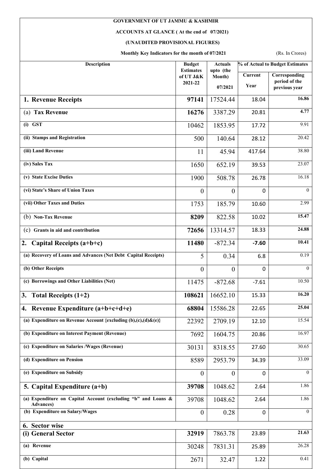## **GOVERNMENT OF UT JAMMU & KASHMIR**

## **ACCOUNTS AT GLANCE ( At the end of 07/2021)**

## **(UNAUDITED PROVISIONAL FIGURES)**

**Monthly Key Indicators for the month of 07/2021** (Rs. In Crores)

| Description                                                                        | <b>Budget</b><br><b>Estimates</b> | <b>Actuals</b><br>upto (the | % of Actual to Budget Estimates |                                |
|------------------------------------------------------------------------------------|-----------------------------------|-----------------------------|---------------------------------|--------------------------------|
|                                                                                    | of UT J&K                         | Month)                      | <b>Current</b>                  | Corresponding<br>period of the |
|                                                                                    | 2021-22                           | 07/2021                     | Year                            | previous year                  |
| 1. Revenue Receipts                                                                | 97141                             | 17524.44                    | 18.04                           | 16.86                          |
| (a) Tax Revenue                                                                    | 16276                             | 3387.29                     | 20.81                           | 4.77                           |
| $(i)$ GST                                                                          | 10462                             | 1853.95                     | 17.72                           | 9.91                           |
| (ii) Stamps and Registration                                                       | 500                               | 140.64                      | 28.12                           | 20.42                          |
| (iii) Land Revenue                                                                 | 11                                | 45.94                       | 417.64                          | 38.80                          |
| (iv) Sales Tax                                                                     | 1650                              | 652.19                      | 39.53                           | $\overline{23.07}$             |
| (v) State Excise Duties                                                            | 1900                              | 508.78                      | 26.78                           | 16.18                          |
| (vi) State's Share of Union Taxes                                                  | $\overline{0}$                    | $\overline{0}$              | 0                               | $\overline{0}$                 |
| (vii) Other Taxes and Duties                                                       | 1753                              | 185.79                      | 10.60                           | 2.99                           |
| (b) Non-Tax Revenue                                                                | 8209                              | 822.58                      | 10.02                           | 15.47                          |
| (c) Grants in aid and contribution                                                 | 72656                             | 13314.57                    | 18.33                           | 24.88                          |
| Capital Receipts (a+b+c)<br>2.                                                     | 11480                             | $-872.34$                   | $-7.60$                         | 10.41                          |
| (a) Recovery of Loans and Advances (Net Debt Capital Receipts)                     | 5                                 | 0.34                        | 6.8                             | 0.19                           |
| (b) Other Receipts                                                                 | $\boldsymbol{0}$                  | $\theta$                    | 0                               | $\theta$                       |
| (c) Borrowings and Other Liabilities (Net)                                         | 11475                             | $-872.68$                   | $-7.61$                         | 10.50                          |
| 3. Total Receipts $(1+2)$                                                          | 108621                            | 16652.10                    | 15.33                           | 16.20                          |
| 4. Revenue Expenditure (a+b+c+d+e)                                                 | 68804                             | 15586.28                    | 22.65                           | 25.04                          |
| (a) Expenditure on Revenue Account {excluding $(b),(c),(d)\&(e)$ }                 | 22392                             | 2709.19                     | 12.10                           | 15.54                          |
| (b) Expenditure on Interest Payment (Revenue)                                      | 7692                              | 1604.75                     | 20.86                           | 16.97                          |
| (c) Expenditure on Salaries /Wages (Revenue)                                       | 30131                             | 8318.55                     | 27.60                           | 30.65                          |
| (d) Expenditure on Pension                                                         | 8589                              | 2953.79                     | 34.39                           | 33.09                          |
| (e) Expenditure on Subsidy                                                         | $\boldsymbol{0}$                  | $\mathbf{0}$                | $\mathbf{0}$                    | $\theta$                       |
| 5. Capital Expenditure (a+b)                                                       | 39708                             | 1048.62                     | 2.64                            | 1.86                           |
| (a) Expenditure on Capital Account (excluding "b" and Loans &<br><b>Advances</b> ) | 39708                             | 1048.62                     | 2.64                            | 1.86                           |
| (b) Expenditure on Salary/Wages                                                    | $\boldsymbol{0}$                  | 0.28                        | 0                               | $\theta$                       |
| 6. Sector wise                                                                     |                                   |                             |                                 |                                |
| (i) General Sector                                                                 | 32919                             | 7863.78                     | 23.89                           | 21.63                          |
| (a) Revenue                                                                        | 30248                             | 7831.31                     | 25.89                           | 26.28                          |
| (b) Capital                                                                        | 2671                              | 32.47                       | 1.22                            | 0.41                           |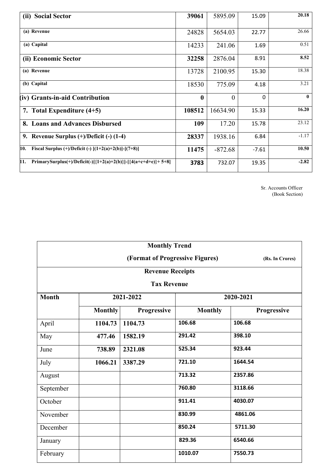| (ii) Social Sector                                                     | 39061        | 5895.09   | 15.09    | 20.18        |
|------------------------------------------------------------------------|--------------|-----------|----------|--------------|
|                                                                        |              |           |          |              |
| (a) Revenue                                                            | 24828        | 5654.03   | 22.77    | 26.66        |
| (a) Capital                                                            | 14233        | 241.06    | 1.69     | 0.51         |
| (ii) Economic Sector                                                   | 32258        | 2876.04   | 8.91     | 8.52         |
| (a) Revenue                                                            | 13728        | 2100.95   | 15.30    | 18.38        |
| (b) Capital                                                            | 18530        | 775.09    | 4.18     | 3.21         |
| (iv) Grants-in-aid Contribution                                        | $\mathbf{0}$ | $\theta$  | $\Omega$ | $\mathbf{0}$ |
| 7. Total Expenditure $(4+5)$                                           | 108512       | 16634.90  | 15.33    | 16.20        |
| 8. Loans and Advances Disbursed                                        | 109          | 17.20     | 15.78    | 23.12        |
| 9. Revenue Surplus $(+)/$ Deficit $(-)$ (1-4)                          | 28337        | 1938.16   | 6.84     | $-1.17$      |
| Fiscal Surplus $(+)/$ Deficit $(-)$ $[(1+2(a)+2(b)]-[7+8)]$<br>10.     | 11475        | $-872.68$ | $-7.61$  | 10.50        |
| 11.<br>PrimarySurplus(+)/Deficit(-)[{1+2(a)+2(b)}]-[{4(a+c+d+e)}+ 5+8] | 3783         | 732.07    | 19.35    | $-2.82$      |

Sr. Accounts Officer (Book Section)

| <b>Monthly Trend</b>                   |                    |                                 |                |                 |  |  |  |
|----------------------------------------|--------------------|---------------------------------|----------------|-----------------|--|--|--|
|                                        |                    | (Format of Progressive Figures) |                | (Rs. In Crores) |  |  |  |
|                                        |                    | <b>Revenue Receipts</b>         |                |                 |  |  |  |
|                                        | <b>Tax Revenue</b> |                                 |                |                 |  |  |  |
| <b>Month</b><br>2020-2021<br>2021-2022 |                    |                                 |                |                 |  |  |  |
|                                        | <b>Monthly</b>     | Progressive                     | <b>Monthly</b> | Progressive     |  |  |  |
| April                                  | 1104.73            | 1104.73                         | 106.68         | 106.68          |  |  |  |
| May                                    | 477.46             | 1582.19                         | 291.42         | 398.10          |  |  |  |
| June                                   | 738.89             | 2321.08                         | 525.34         | 923.44          |  |  |  |
| July                                   | 1066.21            | 3387.29                         | 721.10         | 1644.54         |  |  |  |
| August                                 |                    |                                 | 713.32         | 2357.86         |  |  |  |
| September                              |                    |                                 | 760.80         | 3118.66         |  |  |  |
| October                                |                    |                                 | 911.41         | 4030.07         |  |  |  |
| November                               |                    |                                 | 830.99         | 4861.06         |  |  |  |
| December                               |                    |                                 | 850.24         | 5711.30         |  |  |  |
| January                                |                    |                                 | 829.36         | 6540.66         |  |  |  |
| February                               |                    |                                 | 1010.07        | 7550.73         |  |  |  |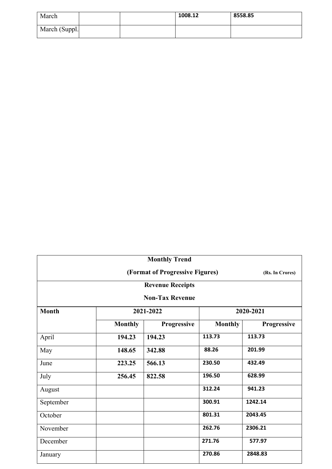| March         |  | 1008.12 | 8558.85 |
|---------------|--|---------|---------|
| March (Suppl. |  |         |         |

| <b>Monthly Trend</b>    |                                 |                        |                |             |  |  |
|-------------------------|---------------------------------|------------------------|----------------|-------------|--|--|
|                         | (Format of Progressive Figures) |                        |                |             |  |  |
| <b>Revenue Receipts</b> |                                 |                        |                |             |  |  |
|                         |                                 | <b>Non-Tax Revenue</b> |                |             |  |  |
| <b>Month</b>            |                                 | 2021-2022              |                | 2020-2021   |  |  |
|                         | <b>Monthly</b>                  | Progressive            | <b>Monthly</b> | Progressive |  |  |
| April                   | 194.23                          | 194.23                 | 113.73         | 113.73      |  |  |
| May                     | 148.65                          | 342.88                 | 88.26          | 201.99      |  |  |
| June                    | 223.25                          | 566.13                 | 230.50         | 432.49      |  |  |
| July                    | 256.45                          | 822.58                 | 196.50         | 628.99      |  |  |
| August                  |                                 |                        | 312.24         | 941.23      |  |  |
| September               |                                 |                        | 300.91         | 1242.14     |  |  |
| October                 |                                 |                        | 801.31         | 2043.45     |  |  |
| November                |                                 |                        | 262.76         | 2306.21     |  |  |
| December                |                                 |                        | 271.76         | 577.97      |  |  |
| January                 |                                 |                        | 270.86         | 2848.83     |  |  |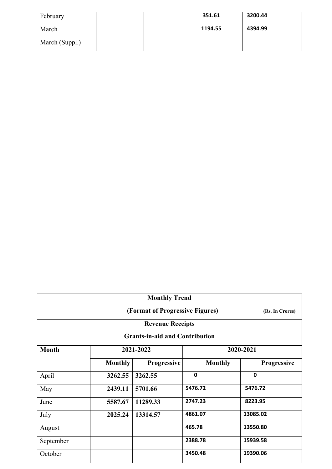| February       |  | 351.61  | 3200.44 |
|----------------|--|---------|---------|
| March          |  | 1194.55 | 4394.99 |
| March (Suppl.) |  |         |         |

| <b>Monthly Trend</b> |                                 |                                       |                |                    |  |  |  |
|----------------------|---------------------------------|---------------------------------------|----------------|--------------------|--|--|--|
|                      | (Format of Progressive Figures) |                                       |                |                    |  |  |  |
|                      | <b>Revenue Receipts</b>         |                                       |                |                    |  |  |  |
|                      |                                 | <b>Grants-in-aid and Contribution</b> |                |                    |  |  |  |
| <b>Month</b>         | 2020-2021                       |                                       |                |                    |  |  |  |
|                      | <b>Monthly</b>                  | <b>Progressive</b>                    | <b>Monthly</b> | <b>Progressive</b> |  |  |  |
| April                | 3262.55                         | 3262.55                               | $\mathbf{0}$   | $\mathbf 0$        |  |  |  |
| May                  | 2439.11                         | 5701.66                               | 5476.72        | 5476.72            |  |  |  |
| June                 | 5587.67                         | 11289.33                              | 2747.23        | 8223.95            |  |  |  |
| July                 | 2025.24                         | 13314.57                              | 4861.07        | 13085.02           |  |  |  |
| August               |                                 |                                       | 465.78         | 13550.80           |  |  |  |
| September            |                                 |                                       | 2388.78        | 15939.58           |  |  |  |
| October              |                                 |                                       | 3450.48        | 19390.06           |  |  |  |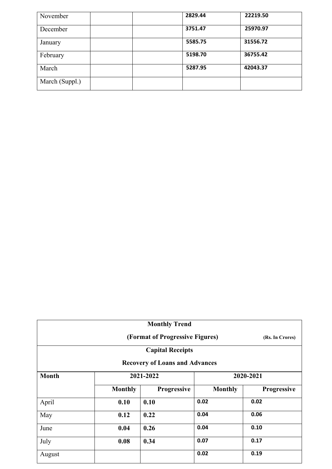| November       |  | 2829.44 | 22219.50 |
|----------------|--|---------|----------|
| December       |  | 3751.47 | 25970.97 |
| January        |  | 5585.75 | 31556.72 |
| February       |  | 5198.70 | 36755.42 |
| March          |  | 5287.95 | 42043.37 |
| March (Suppl.) |  |         |          |

| <b>Monthly Trend</b> |                                                    |                                       |                |                    |  |  |  |
|----------------------|----------------------------------------------------|---------------------------------------|----------------|--------------------|--|--|--|
|                      | (Format of Progressive Figures)<br>(Rs. In Crores) |                                       |                |                    |  |  |  |
|                      |                                                    | <b>Capital Receipts</b>               |                |                    |  |  |  |
|                      |                                                    | <b>Recovery of Loans and Advances</b> |                |                    |  |  |  |
| <b>Month</b>         |                                                    | 2021-2022                             |                | 2020-2021          |  |  |  |
|                      | <b>Monthly</b>                                     | Progressive                           | <b>Monthly</b> | <b>Progressive</b> |  |  |  |
| April                | 0.10                                               | 0.10                                  | 0.02           | 0.02               |  |  |  |
| May                  | 0.12                                               | 0.22                                  | 0.04           | 0.06               |  |  |  |
| June                 | 0.04                                               | 0.26                                  | 0.04           | 0.10               |  |  |  |
| July                 | 0.08                                               | 0.34                                  | 0.07           | 0.17               |  |  |  |
| August               |                                                    |                                       | 0.02           | 0.19               |  |  |  |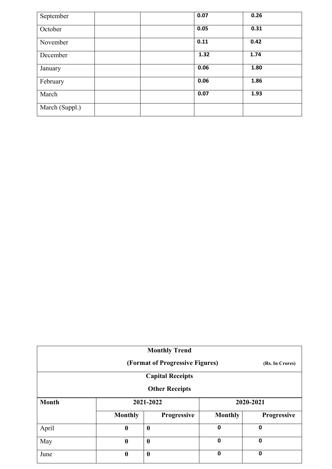| September      | 0.07 | 0.26 |
|----------------|------|------|
| October        | 0.05 | 0.31 |
| November       | 0.11 | 0.42 |
| December       | 1.32 | 1.74 |
| January        | 0.06 | 1.80 |
| February       | 0.06 | 1.86 |
| March          | 0.07 | 1.93 |
| March (Suppl.) |      |      |

| <b>Monthly Trend</b>                               |                  |                  |                |             |  |
|----------------------------------------------------|------------------|------------------|----------------|-------------|--|
| (Format of Progressive Figures)<br>(Rs. In Crores) |                  |                  |                |             |  |
| <b>Capital Receipts</b>                            |                  |                  |                |             |  |
| <b>Other Receipts</b>                              |                  |                  |                |             |  |
| <b>Month</b>                                       | 2021-2022        |                  |                | 2020-2021   |  |
|                                                    | <b>Monthly</b>   | Progressive      | <b>Monthly</b> | Progressive |  |
| April                                              | $\boldsymbol{0}$ | $\boldsymbol{0}$ | 0              | 0           |  |
| May                                                | $\boldsymbol{0}$ | $\boldsymbol{0}$ | $\mathbf 0$    | 0           |  |
| June                                               | $\boldsymbol{0}$ | $\boldsymbol{0}$ | $\mathbf 0$    | 0           |  |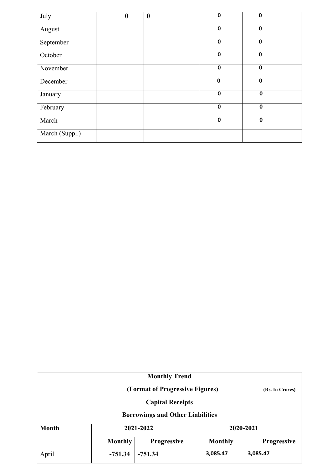| July           | $\boldsymbol{0}$ | $\boldsymbol{0}$ | $\mathbf 0$ | $\mathbf 0$ |
|----------------|------------------|------------------|-------------|-------------|
| August         |                  |                  | $\mathbf 0$ | $\mathbf 0$ |
| September      |                  |                  | $\mathbf 0$ | $\mathbf 0$ |
| October        |                  |                  | $\mathbf 0$ | $\mathbf 0$ |
| November       |                  |                  | $\mathbf 0$ | $\mathbf 0$ |
| December       |                  |                  | $\mathbf 0$ | $\mathbf 0$ |
| January        |                  |                  | $\mathbf 0$ | $\mathbf 0$ |
| February       |                  |                  | $\mathbf 0$ | $\mathbf 0$ |
| March          |                  |                  | $\mathbf 0$ | $\mathbf 0$ |
| March (Suppl.) |                  |                  |             |             |

|                                                    |                                                                       | <b>Monthly Trend</b>                    |          |           |  |  |  |
|----------------------------------------------------|-----------------------------------------------------------------------|-----------------------------------------|----------|-----------|--|--|--|
| (Format of Progressive Figures)<br>(Rs. In Crores) |                                                                       |                                         |          |           |  |  |  |
|                                                    |                                                                       | <b>Capital Receipts</b>                 |          |           |  |  |  |
|                                                    |                                                                       | <b>Borrowings and Other Liabilities</b> |          |           |  |  |  |
| <b>Month</b>                                       |                                                                       | 2021-2022                               |          | 2020-2021 |  |  |  |
|                                                    | <b>Monthly</b><br>Progressive<br><b>Monthly</b><br><b>Progressive</b> |                                         |          |           |  |  |  |
| April                                              | $-751.34$                                                             | $-751.34$                               | 3,085.47 | 3,085.47  |  |  |  |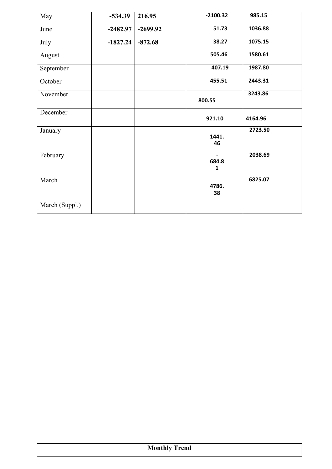| May            | $-534.39$  | 216.95     | $-2100.32$            | 985.15  |
|----------------|------------|------------|-----------------------|---------|
| June           | $-2482.97$ | $-2699.92$ | 51.73                 | 1036.88 |
| July           | $-1827.24$ | $-872.68$  | 38.27                 | 1075.15 |
| August         |            |            | 505.46                | 1580.61 |
| September      |            |            | 407.19                | 1987.80 |
| October        |            |            | 455.51                | 2443.31 |
| November       |            |            | 800.55                | 3243.86 |
| December       |            |            | 921.10                | 4164.96 |
| January        |            |            | 1441.<br>46           | 2723.50 |
| February       |            |            | 684.8<br>$\mathbf{1}$ | 2038.69 |
| March          |            |            | 4786.<br>38           | 6825.07 |
| March (Suppl.) |            |            |                       |         |

|  | <b>Monthly Trend</b> |  |
|--|----------------------|--|
|  |                      |  |
|  |                      |  |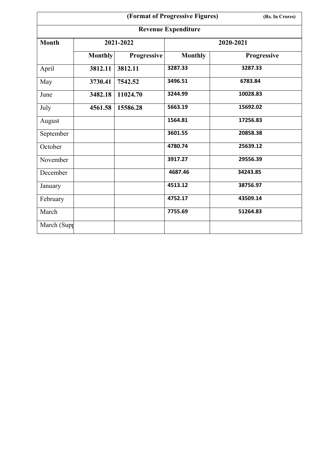|              | (Format of Progressive Figures) |             |                |             |  |  |  |  |  |
|--------------|---------------------------------|-------------|----------------|-------------|--|--|--|--|--|
|              | <b>Revenue Expenditure</b>      |             |                |             |  |  |  |  |  |
| <b>Month</b> |                                 | 2021-2022   |                | 2020-2021   |  |  |  |  |  |
|              | <b>Monthly</b>                  | Progressive | <b>Monthly</b> | Progressive |  |  |  |  |  |
| April        | 3812.11                         | 3812.11     | 3287.33        | 3287.33     |  |  |  |  |  |
| May          | 3730.41                         | 7542.52     | 3496.51        | 6783.84     |  |  |  |  |  |
| June         | 3482.18                         | 11024.70    | 3244.99        | 10028.83    |  |  |  |  |  |
| July         | 4561.58                         | 15586.28    | 5663.19        | 15692.02    |  |  |  |  |  |
| August       |                                 |             | 1564.81        | 17256.83    |  |  |  |  |  |
| September    |                                 |             | 3601.55        | 20858.38    |  |  |  |  |  |
| October      |                                 |             | 4780.74        | 25639.12    |  |  |  |  |  |
| November     |                                 |             | 3917.27        | 29556.39    |  |  |  |  |  |
| December     |                                 |             | 4687.46        | 34243.85    |  |  |  |  |  |
| January      |                                 |             | 4513.12        | 38756.97    |  |  |  |  |  |
| February     |                                 |             | 4752.17        | 43509.14    |  |  |  |  |  |
| March        |                                 |             | 7755.69        | 51264.83    |  |  |  |  |  |
| March (Supp  |                                 |             |                |             |  |  |  |  |  |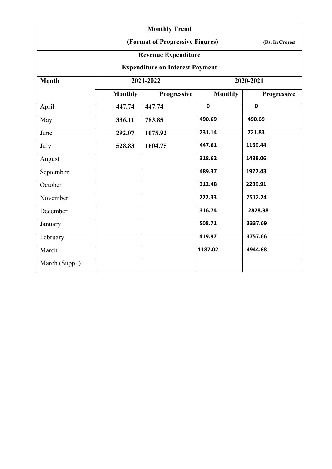|                                        |                                 | <b>Monthly Trend</b>       |                |             |  |  |  |
|----------------------------------------|---------------------------------|----------------------------|----------------|-------------|--|--|--|
|                                        | (Format of Progressive Figures) |                            |                |             |  |  |  |
|                                        |                                 | <b>Revenue Expenditure</b> |                |             |  |  |  |
| <b>Expenditure on Interest Payment</b> |                                 |                            |                |             |  |  |  |
| <b>Month</b>                           |                                 | 2021-2022                  |                | 2020-2021   |  |  |  |
|                                        | <b>Monthly</b>                  | Progressive                | <b>Monthly</b> | Progressive |  |  |  |
| April                                  | 447.74                          | 447.74                     | $\mathbf 0$    | $\mathbf 0$ |  |  |  |
| May                                    | 336.11                          | 783.85                     | 490.69         | 490.69      |  |  |  |
| June                                   | 292.07                          | 1075.92                    | 231.14         | 721.83      |  |  |  |
| July                                   | 528.83                          | 1604.75                    | 447.61         | 1169.44     |  |  |  |
| August                                 |                                 |                            | 318.62         | 1488.06     |  |  |  |
| September                              |                                 |                            | 489.37         | 1977.43     |  |  |  |
| October                                |                                 |                            | 312.48         | 2289.91     |  |  |  |
| November                               |                                 |                            | 222.33         | 2512.24     |  |  |  |
| December                               |                                 |                            | 316.74         | 2828.98     |  |  |  |
| January                                |                                 |                            | 508.71         | 3337.69     |  |  |  |
| February                               |                                 |                            | 419.97         | 3757.66     |  |  |  |
| March                                  |                                 |                            | 1187.02        | 4944.68     |  |  |  |
| March (Suppl.)                         |                                 |                            |                |             |  |  |  |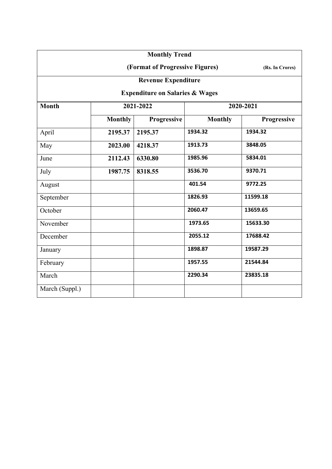|                |                                 | <b>Monthly Trend</b>                       |                |             |  |  |  |
|----------------|---------------------------------|--------------------------------------------|----------------|-------------|--|--|--|
|                | (Format of Progressive Figures) |                                            |                |             |  |  |  |
|                |                                 | <b>Revenue Expenditure</b>                 |                |             |  |  |  |
|                |                                 | <b>Expenditure on Salaries &amp; Wages</b> |                |             |  |  |  |
| <b>Month</b>   |                                 | 2021-2022                                  |                | 2020-2021   |  |  |  |
|                | <b>Monthly</b>                  | Progressive                                | <b>Monthly</b> | Progressive |  |  |  |
| April          | 2195.37                         | 2195.37                                    | 1934.32        | 1934.32     |  |  |  |
| May            | 2023.00                         | 4218.37                                    | 1913.73        | 3848.05     |  |  |  |
| June           | 2112.43                         | 6330.80                                    | 1985.96        | 5834.01     |  |  |  |
| July           | 1987.75                         | 8318.55                                    | 3536.70        | 9370.71     |  |  |  |
| August         |                                 |                                            | 401.54         | 9772.25     |  |  |  |
| September      |                                 |                                            | 1826.93        | 11599.18    |  |  |  |
| October        |                                 |                                            | 2060.47        | 13659.65    |  |  |  |
| November       |                                 |                                            | 1973.65        | 15633.30    |  |  |  |
| December       |                                 |                                            | 2055.12        | 17688.42    |  |  |  |
| January        |                                 |                                            | 1898.87        | 19587.29    |  |  |  |
| February       |                                 |                                            | 1957.55        | 21544.84    |  |  |  |
| March          |                                 |                                            | 2290.34        | 23835.18    |  |  |  |
| March (Suppl.) |                                 |                                            |                |             |  |  |  |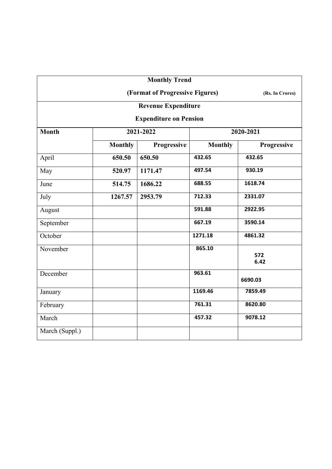|                |                               | <b>Monthly Trend</b>            |                |                 |  |  |  |  |
|----------------|-------------------------------|---------------------------------|----------------|-----------------|--|--|--|--|
|                |                               | (Format of Progressive Figures) |                | (Rs. In Crores) |  |  |  |  |
|                |                               | <b>Revenue Expenditure</b>      |                |                 |  |  |  |  |
|                | <b>Expenditure on Pension</b> |                                 |                |                 |  |  |  |  |
| <b>Month</b>   |                               | 2021-2022                       | 2020-2021      |                 |  |  |  |  |
|                | <b>Monthly</b>                | Progressive                     | <b>Monthly</b> | Progressive     |  |  |  |  |
| April          | 650.50                        | 650.50                          | 432.65         | 432.65          |  |  |  |  |
| May            | 520.97                        | 1171.47                         | 497.54         | 930.19          |  |  |  |  |
| June           | 514.75                        | 1686.22                         | 688.55         | 1618.74         |  |  |  |  |
| July           | 1267.57                       | 2953.79                         | 712.33         | 2331.07         |  |  |  |  |
| August         |                               |                                 | 591.88         | 2922.95         |  |  |  |  |
| September      |                               |                                 | 667.19         | 3590.14         |  |  |  |  |
| October        |                               |                                 | 1271.18        | 4861.32         |  |  |  |  |
| November       |                               |                                 | 865.10         | 572             |  |  |  |  |
|                |                               |                                 |                | 6.42            |  |  |  |  |
| December       |                               |                                 | 963.61         | 6690.03         |  |  |  |  |
| January        |                               |                                 | 1169.46        | 7859.49         |  |  |  |  |
| February       |                               |                                 | 761.31         | 8620.80         |  |  |  |  |
| March          |                               |                                 | 457.32         | 9078.12         |  |  |  |  |
| March (Suppl.) |                               |                                 |                |                 |  |  |  |  |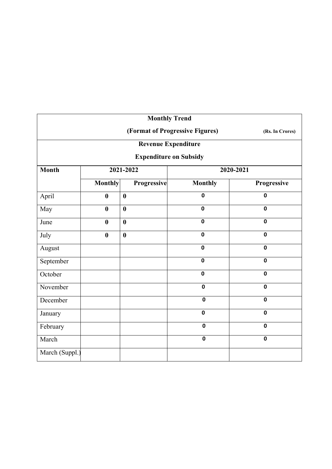|                |                                                    |                  |             | <b>Monthly Trend</b>          |             |  |  |  |
|----------------|----------------------------------------------------|------------------|-------------|-------------------------------|-------------|--|--|--|
|                | (Format of Progressive Figures)<br>(Rs. In Crores) |                  |             |                               |             |  |  |  |
|                | <b>Revenue Expenditure</b>                         |                  |             |                               |             |  |  |  |
|                |                                                    |                  |             | <b>Expenditure on Subsidy</b> |             |  |  |  |
| <b>Month</b>   | 2021-2022                                          |                  |             |                               | 2020-2021   |  |  |  |
|                | <b>Monthly</b>                                     |                  | Progressive | <b>Monthly</b>                | Progressive |  |  |  |
| April          | $\bf{0}$                                           | $\boldsymbol{0}$ |             | $\mathbf 0$                   | $\mathbf 0$ |  |  |  |
| May            | $\bf{0}$                                           | $\boldsymbol{0}$ |             | $\mathbf 0$                   | $\mathbf 0$ |  |  |  |
| June           | $\bf{0}$                                           | $\boldsymbol{0}$ |             | $\mathbf 0$                   | $\mathbf 0$ |  |  |  |
| July           | $\bf{0}$                                           | $\boldsymbol{0}$ |             | $\mathbf 0$                   | $\mathbf 0$ |  |  |  |
| August         |                                                    |                  |             | $\mathbf 0$                   | $\mathbf 0$ |  |  |  |
| September      |                                                    |                  |             | $\mathbf 0$                   | $\mathbf 0$ |  |  |  |
| October        |                                                    |                  |             | $\mathbf 0$                   | $\mathbf 0$ |  |  |  |
| November       |                                                    |                  |             | $\mathbf 0$                   | $\mathbf 0$ |  |  |  |
| December       |                                                    |                  |             | $\mathbf 0$                   | $\mathbf 0$ |  |  |  |
| January        |                                                    |                  |             | $\mathbf 0$                   | $\mathbf 0$ |  |  |  |
| February       |                                                    |                  |             | $\overline{\mathbf{0}}$       | $\mathbf 0$ |  |  |  |
| March          |                                                    |                  |             | $\mathbf 0$                   | $\mathbf 0$ |  |  |  |
| March (Suppl.) |                                                    |                  |             |                               |             |  |  |  |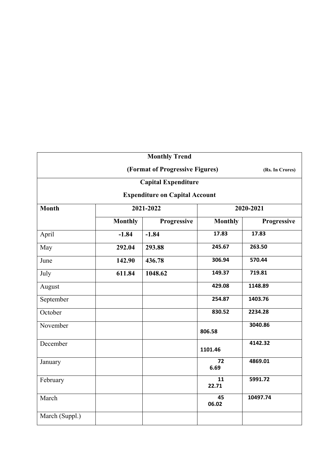|                |                                                    | <b>Monthly Trend</b>                  |                |             |  |  |  |  |
|----------------|----------------------------------------------------|---------------------------------------|----------------|-------------|--|--|--|--|
|                | (Format of Progressive Figures)<br>(Rs. In Crores) |                                       |                |             |  |  |  |  |
|                | <b>Capital Expenditure</b>                         |                                       |                |             |  |  |  |  |
|                |                                                    | <b>Expenditure on Capital Account</b> |                |             |  |  |  |  |
| <b>Month</b>   |                                                    | 2021-2022                             | 2020-2021      |             |  |  |  |  |
|                | <b>Monthly</b>                                     | Progressive                           | <b>Monthly</b> | Progressive |  |  |  |  |
| April          | $-1.84$                                            | $-1.84$                               | 17.83          | 17.83       |  |  |  |  |
| May            | 292.04                                             | 293.88                                | 245.67         | 263.50      |  |  |  |  |
| June           | 142.90<br>436.78                                   |                                       | 306.94         | 570.44      |  |  |  |  |
| July           | 611.84                                             | 1048.62                               | 149.37         | 719.81      |  |  |  |  |
| August         |                                                    |                                       | 429.08         | 1148.89     |  |  |  |  |
| September      |                                                    |                                       | 254.87         | 1403.76     |  |  |  |  |
| October        |                                                    |                                       | 830.52         | 2234.28     |  |  |  |  |
| November       |                                                    |                                       | 806.58         | 3040.86     |  |  |  |  |
| December       |                                                    |                                       | 1101.46        | 4142.32     |  |  |  |  |
| January        |                                                    |                                       | 72<br>6.69     | 4869.01     |  |  |  |  |
| February       |                                                    |                                       | 11<br>22.71    | 5991.72     |  |  |  |  |
| March          |                                                    |                                       | 45<br>06.02    | 10497.74    |  |  |  |  |
| March (Suppl.) |                                                    |                                       |                |             |  |  |  |  |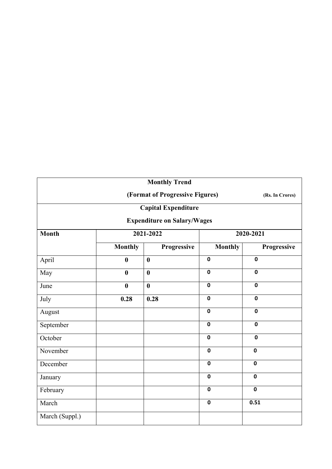|                |                                                    | <b>Monthly Trend</b>               |                |             |  |  |  |  |
|----------------|----------------------------------------------------|------------------------------------|----------------|-------------|--|--|--|--|
|                | (Format of Progressive Figures)<br>(Rs. In Crores) |                                    |                |             |  |  |  |  |
|                | <b>Capital Expenditure</b>                         |                                    |                |             |  |  |  |  |
|                |                                                    | <b>Expenditure on Salary/Wages</b> |                |             |  |  |  |  |
| <b>Month</b>   |                                                    | 2021-2022                          |                | 2020-2021   |  |  |  |  |
|                | <b>Monthly</b>                                     | Progressive                        | <b>Monthly</b> | Progressive |  |  |  |  |
| April          | $\boldsymbol{0}$                                   | $\bf{0}$                           | $\mathbf 0$    | $\mathbf 0$ |  |  |  |  |
| May            | $\boldsymbol{0}$                                   | $\boldsymbol{0}$                   | $\mathbf 0$    | $\mathbf 0$ |  |  |  |  |
| June           | $\boldsymbol{0}$                                   | $\bf{0}$                           | $\mathbf 0$    | $\mathbf 0$ |  |  |  |  |
| July           | 0.28                                               | 0.28                               | $\mathbf 0$    | $\mathbf 0$ |  |  |  |  |
| August         |                                                    |                                    | $\mathbf 0$    | $\mathbf 0$ |  |  |  |  |
| September      |                                                    |                                    | $\mathbf 0$    | $\mathbf 0$ |  |  |  |  |
| October        |                                                    |                                    | $\mathbf 0$    | $\mathbf 0$ |  |  |  |  |
| November       |                                                    |                                    | $\mathbf 0$    | $\mathbf 0$ |  |  |  |  |
| December       |                                                    |                                    | $\mathbf 0$    | $\mathbf 0$ |  |  |  |  |
| January        |                                                    |                                    | $\mathbf 0$    | $\mathbf 0$ |  |  |  |  |
| February       |                                                    |                                    | $\mathbf 0$    | $\mathbf 0$ |  |  |  |  |
| March          |                                                    |                                    | $\mathbf 0$    | 0.51        |  |  |  |  |
| March (Suppl.) |                                                    |                                    |                |             |  |  |  |  |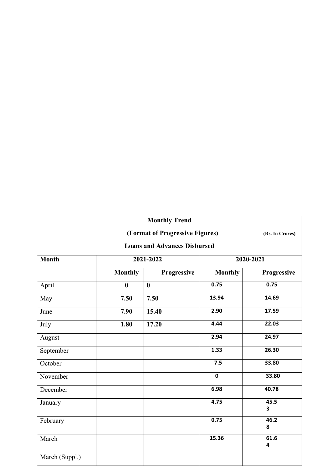|                |                                     | <b>Monthly Trend</b>            |                |                 |  |  |  |  |
|----------------|-------------------------------------|---------------------------------|----------------|-----------------|--|--|--|--|
|                |                                     | (Format of Progressive Figures) |                | (Rs. In Crores) |  |  |  |  |
|                | <b>Loans and Advances Disbursed</b> |                                 |                |                 |  |  |  |  |
| <b>Month</b>   |                                     | 2021-2022                       | 2020-2021      |                 |  |  |  |  |
|                | <b>Monthly</b>                      | Progressive                     | <b>Monthly</b> | Progressive     |  |  |  |  |
| April          | $\boldsymbol{0}$                    | $\bf{0}$                        | 0.75           | 0.75            |  |  |  |  |
| May            | 7.50                                | 7.50                            | 13.94          | 14.69           |  |  |  |  |
| June           | 7.90                                | 15.40                           | 2.90           | 17.59           |  |  |  |  |
| July           | 1.80                                | 17.20                           | 4.44           | 22.03           |  |  |  |  |
| August         |                                     |                                 | 2.94           | 24.97           |  |  |  |  |
| September      |                                     |                                 | 1.33           | 26.30           |  |  |  |  |
| October        |                                     |                                 | 7.5            | 33.80           |  |  |  |  |
| November       |                                     |                                 | $\mathbf 0$    | 33.80           |  |  |  |  |
| December       |                                     |                                 | 6.98           | 40.78           |  |  |  |  |
| January        |                                     |                                 | 4.75           | 45.5<br>3       |  |  |  |  |
| February       |                                     |                                 | 0.75           | 46.2<br>8       |  |  |  |  |
| March          |                                     |                                 | 15.36          | 61.6<br>4       |  |  |  |  |
| March (Suppl.) |                                     |                                 |                |                 |  |  |  |  |